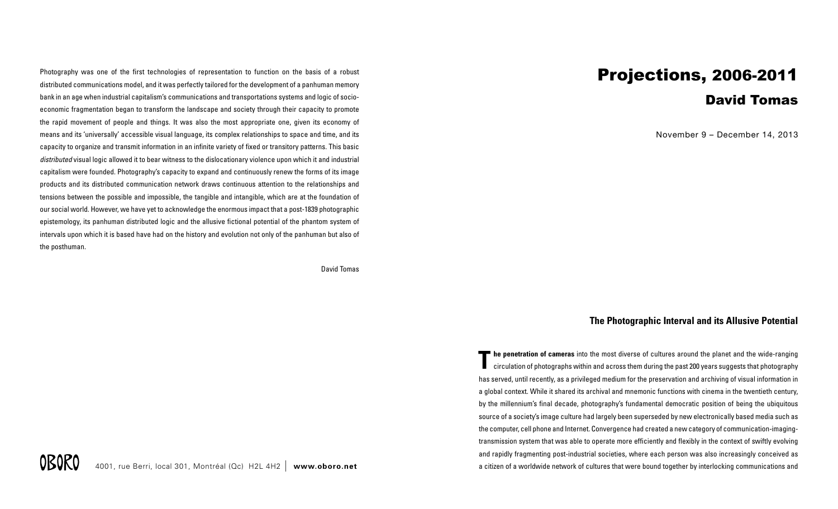Photography was one of the first technologies of representation to function on the basis of a robust distributed communications model, and it was perfectly tailored for the development of a panhuman memory bank in an age when industrial capitalism's communications and transportations systems and logic of socioeconomic fragmentation began to transform the landscape and society through their capacity to promote the rapid movement of people and things. It was also the most appropriate one, given its economy of means and its 'universally' accessible visual language, its complex relationships to space and time, and its capacity to organize and transmit information in an infinite variety of fixed or transitory patterns. This basic *distributed* visual logic allowed it to bear witness to the dislocationary violence upon which it and industrial capitalism were founded. Photography's capacity to expand and continuously renew the forms of its image products and its distributed communication network draws continuous attention to the relationships and tensions between the possible and impossible, the tangible and intangible, which are at the foundation of our social world. However, we have yet to acknowledge the enormous impact that a post-1839 photographic epistemology, its panhuman distributed logic and the allusive fictional potential of the phantom system of intervals upon which it is based have had on the history and evolution not only of the panhuman but also of the posthuman.

David Tomas

## David Tomas

November 9 – December 14, 2013

## **The Photographic Interval and its Allusive Potential**

**The penetration of cameras** into the most diverse of cultures around the planet and the wide-ranging circulation of photographs within and across them during the past 200 years suggests that photography has served, until recently, as a privileged medium for the preservation and archiving of visual information in a global context. While it shared its archival and mnemonic functions with cinema in the twentieth century, by the millennium's final decade, photography's fundamental democratic position of being the ubiquitous source of a society's image culture had largely been superseded by new electronically based media such as the computer, cell phone and Internet. Convergence had created a new category of communication-imagingtransmission system that was able to operate more efficiently and flexibly in the context of swiftly evolving and rapidly fragmenting post-industrial societies, where each person was also increasingly conceived as a citizen of a worldwide network of cultures that were bound together by interlocking communications and